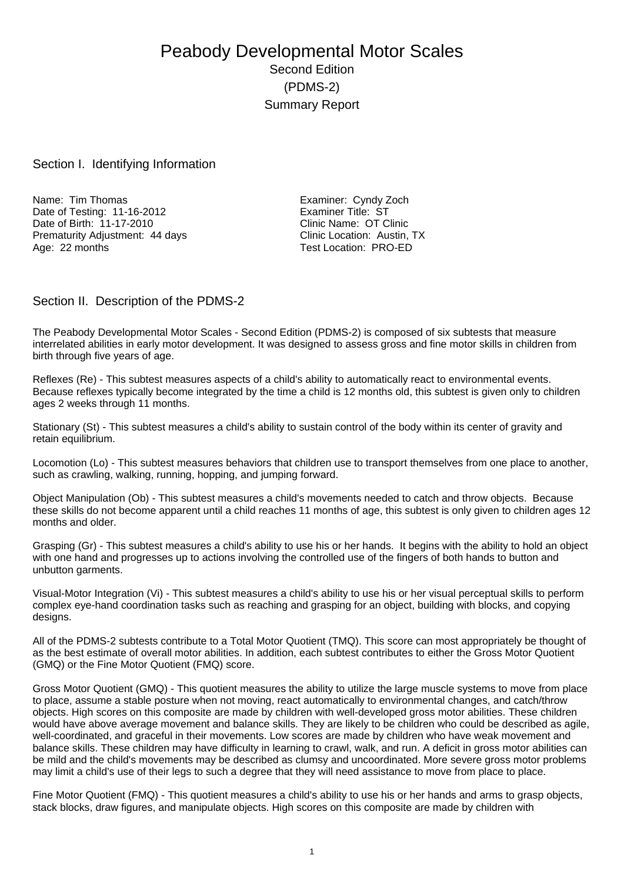# Peabody Developmental Motor Scales Second Edition (PDMS-2) Summary Report

### Section I. Identifying Information

Name: Tim Thomas Examiner: Cyndy Zoch Date of Testing: 11-16-2012<br>
Date of Birth: 11-17-2010<br>
Clinic Name: OT Clinic Date of Birth: 11-17-2010<br>
Prematurity Adiustment: 44 davs<br>
Clinic Location: Austin. TX Prematurity Adjustment: 44 days<br>Age: 22 months

Test Location: PRO-ED

### Section II. Description of the PDMS-2

The Peabody Developmental Motor Scales - Second Edition (PDMS-2) is composed of six subtests that measure interrelated abilities in early motor development. It was designed to assess gross and fine motor skills in children from birth through five years of age.

Reflexes (Re) - This subtest measures aspects of a child's ability to automatically react to environmental events. Because reflexes typically become integrated by the time a child is 12 months old, this subtest is given only to children ages 2 weeks through 11 months.

Stationary (St) - This subtest measures a child's ability to sustain control of the body within its center of gravity and retain equilibrium.

Locomotion (Lo) - This subtest measures behaviors that children use to transport themselves from one place to another, such as crawling, walking, running, hopping, and jumping forward.

Object Manipulation (Ob) - This subtest measures a child's movements needed to catch and throw objects. Because these skills do not become apparent until a child reaches 11 months of age, this subtest is only given to children ages 12 months and older.

Grasping (Gr) - This subtest measures a child's ability to use his or her hands. It begins with the ability to hold an object with one hand and progresses up to actions involving the controlled use of the fingers of both hands to button and unbutton garments.

Visual-Motor Integration (Vi) - This subtest measures a child's ability to use his or her visual perceptual skills to perform complex eye-hand coordination tasks such as reaching and grasping for an object, building with blocks, and copying designs.

All of the PDMS-2 subtests contribute to a Total Motor Quotient (TMQ). This score can most appropriately be thought of as the best estimate of overall motor abilities. In addition, each subtest contributes to either the Gross Motor Quotient (GMQ) or the Fine Motor Quotient (FMQ) score.

Gross Motor Quotient (GMQ) - This quotient measures the ability to utilize the large muscle systems to move from place to place, assume a stable posture when not moving, react automatically to environmental changes, and catch/throw objects. High scores on this composite are made by children with well-developed gross motor abilities. These children would have above average movement and balance skills. They are likely to be children who could be described as agile, well-coordinated, and graceful in their movements. Low scores are made by children who have weak movement and balance skills. These children may have difficulty in learning to crawl, walk, and run. A deficit in gross motor abilities can be mild and the child's movements may be described as clumsy and uncoordinated. More severe gross motor problems may limit a child's use of their legs to such a degree that they will need assistance to move from place to place.

Fine Motor Quotient (FMQ) - This quotient measures a child's ability to use his or her hands and arms to grasp objects, stack blocks, draw figures, and manipulate objects. High scores on this composite are made by children with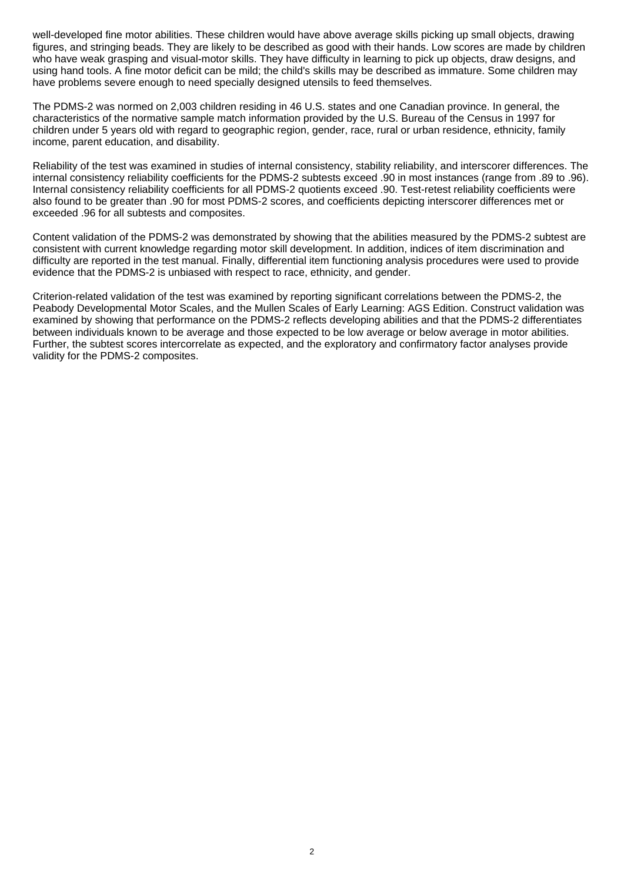well-developed fine motor abilities. These children would have above average skills picking up small objects, drawing figures, and stringing beads. They are likely to be described as good with their hands. Low scores are made by children who have weak grasping and visual-motor skills. They have difficulty in learning to pick up objects, draw designs, and using hand tools. A fine motor deficit can be mild; the child's skills may be described as immature. Some children may have problems severe enough to need specially designed utensils to feed themselves.

The PDMS-2 was normed on 2,003 children residing in 46 U.S. states and one Canadian province. In general, the characteristics of the normative sample match information provided by the U.S. Bureau of the Census in 1997 for children under 5 years old with regard to geographic region, gender, race, rural or urban residence, ethnicity, family income, parent education, and disability.

Reliability of the test was examined in studies of internal consistency, stability reliability, and interscorer differences. The internal consistency reliability coefficients for the PDMS-2 subtests exceed .90 in most instances (range from .89 to .96). Internal consistency reliability coefficients for all PDMS-2 quotients exceed .90. Test-retest reliability coefficients were also found to be greater than .90 for most PDMS-2 scores, and coefficients depicting interscorer differences met or exceeded .96 for all subtests and composites.

Content validation of the PDMS-2 was demonstrated by showing that the abilities measured by the PDMS-2 subtest are consistent with current knowledge regarding motor skill development. In addition, indices of item discrimination and difficulty are reported in the test manual. Finally, differential item functioning analysis procedures were used to provide evidence that the PDMS-2 is unbiased with respect to race, ethnicity, and gender.

Criterion-related validation of the test was examined by reporting significant correlations between the PDMS-2, the Peabody Developmental Motor Scales, and the Mullen Scales of Early Learning: AGS Edition. Construct validation was examined by showing that performance on the PDMS-2 reflects developing abilities and that the PDMS-2 differentiates between individuals known to be average and those expected to be low average or below average in motor abilities. Further, the subtest scores intercorrelate as expected, and the exploratory and confirmatory factor analyses provide validity for the PDMS-2 composites.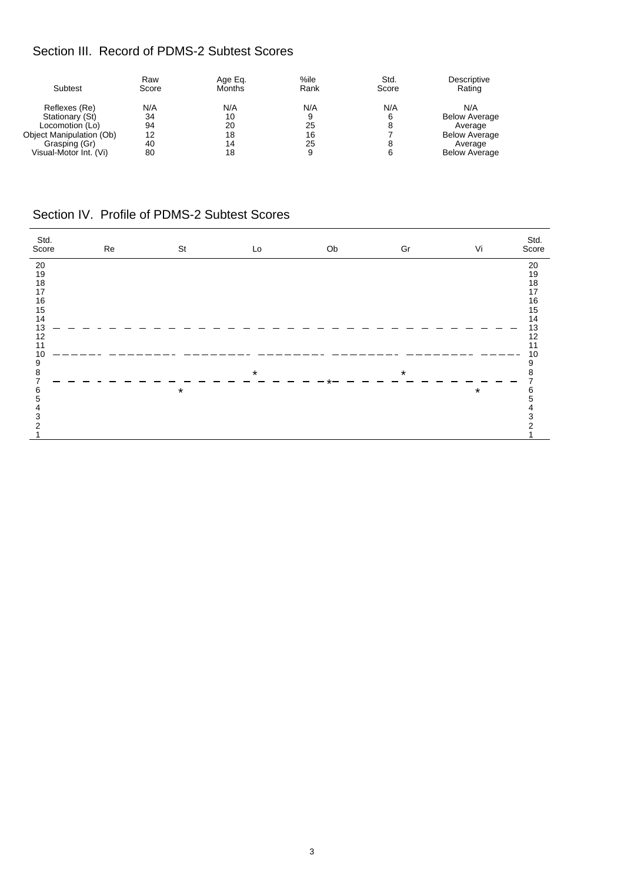# Section III. Record of PDMS-2 Subtest Scores

| Subtest                  | Raw<br>Score | Age Eq.<br><b>Months</b> | %ile<br>Rank | Std.<br>Score | Descriptive<br>Rating |
|--------------------------|--------------|--------------------------|--------------|---------------|-----------------------|
| Reflexes (Re)            | N/A          | N/A                      | N/A          | N/A           | N/A                   |
| Stationary (St)          | 34           | 10                       | 9            | 6             | <b>Below Average</b>  |
| Locomotion (Lo)          | 94           | 20                       | 25           | 8             | Average               |
| Object Manipulation (Ob) | 12           | 18                       | 16           |               | <b>Below Average</b>  |
| Grasping (Gr)            | 40           | 14                       | 25           | 8             | Average               |
| Visual-Motor Int. (Vi)   | 80           | 18                       | 9            | 6             | <b>Below Average</b>  |

# Section IV. Profile of PDMS-2 Subtest Scores

| Std.<br>Score | Re | St      | Lo      | Ob | Gr      | Vi      | Std.<br>Score |
|---------------|----|---------|---------|----|---------|---------|---------------|
| 20            |    |         |         |    |         |         | 20            |
| 19            |    |         |         |    |         |         | 19            |
| $18\,$        |    |         |         |    |         |         | $18\,$        |
| 17            |    |         |         |    |         |         | 17            |
| $16\,$        |    |         |         |    |         |         | 16            |
| 15<br>14      |    |         |         |    |         |         | 15<br>14      |
| 13            |    |         |         |    |         |         | 13            |
| 12            |    |         |         |    |         |         | 12            |
| 11            |    |         |         |    |         |         | 11            |
| 10            |    |         |         |    |         |         | 10            |
| 9             |    |         |         |    |         |         | 9             |
| 8             |    |         | $\star$ |    | $\star$ |         | 8             |
| 7             |    |         |         |    |         |         |               |
| 6             |    | $\star$ |         |    |         | $\star$ | 6             |
| 5             |    |         |         |    |         |         |               |
| 4             |    |         |         |    |         |         |               |
| 3<br>2        |    |         |         |    |         |         | 3             |
|               |    |         |         |    |         |         |               |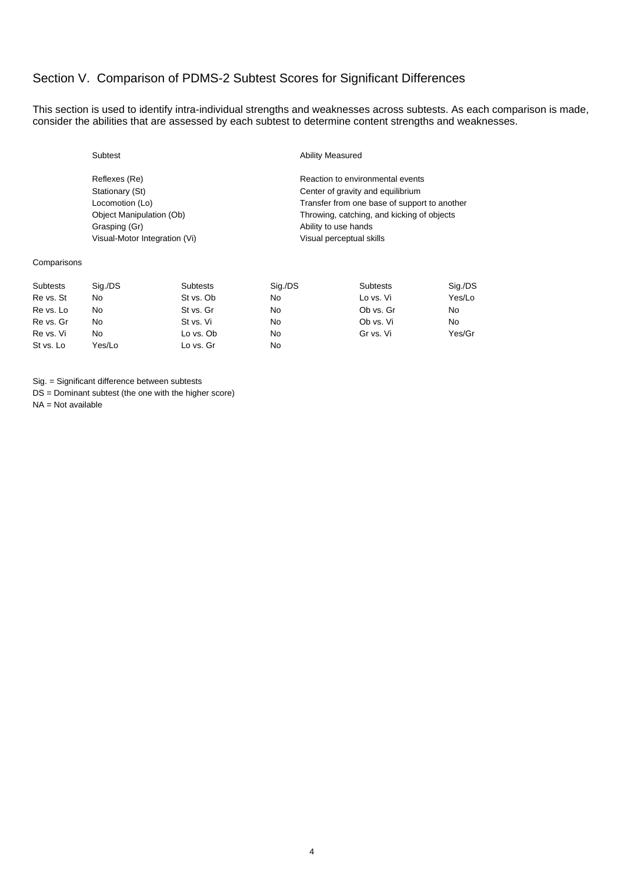## Section V. Comparison of PDMS-2 Subtest Scores for Significant Differences

This section is used to identify intra-individual strengths and weaknesses across subtests. As each comparison is made, consider the abilities that are assessed by each subtest to determine content strengths and weaknesses.

Grasping (Gr) Cassouri Communication of the Music Ability to use hands Visual-Motor Integration (Vi) visual perceptual skills

#### **Ability Measured**

Reflexes (Re) **Reaction** Reaction to environmental events Stationary (St) Stationary (St) Center of gravity and equilibrium Locomotion (Lo) Transfer from one base of support to another Object Manipulation (Ob) Throwing, catching, and kicking of objects

#### Comparisons

| Subtests  | Sig./DS | Subtests  | Sig./DS | <b>Subtests</b> | Sig./DS |
|-----------|---------|-----------|---------|-----------------|---------|
| Re vs. St | No      | St vs. Ob | No      | Lo vs. Vi       | Yes/Lo  |
| Re vs. Lo | No      | St vs. Gr | No      | Ob vs. Gr       | No      |
| Re vs. Gr | No      | St vs. Vi | No      | Ob vs. Vi       | No      |
| Re vs. Vi | No      | Lo vs. Ob | No      | Gr vs. Vi       | Yes/Gr  |
| St vs. Lo | Yes/Lo  | Lo vs. Gr | No      |                 |         |

Sig. = Significant difference between subtests

DS = Dominant subtest (the one with the higher score)

NA = Not available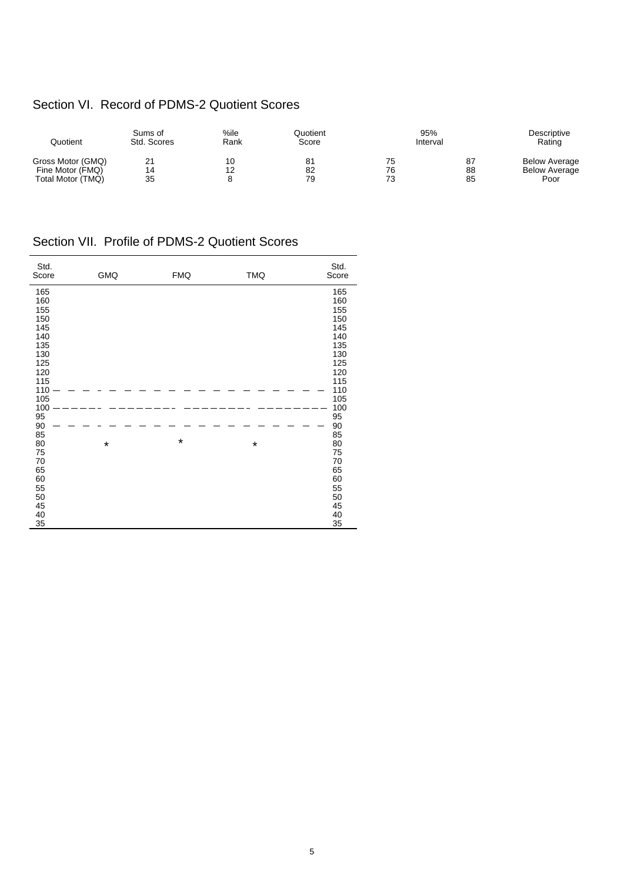# Section VI. Record of PDMS-2 Quotient Scores

| Quotient                                                   | Sums of<br>Std. Scores | %ile<br>Rank | Quotient<br>Score | 95%<br>Interval |                | Descriptive<br>Rating                                |
|------------------------------------------------------------|------------------------|--------------|-------------------|-----------------|----------------|------------------------------------------------------|
| Gross Motor (GMQ)<br>Fine Motor (FMQ)<br>Total Motor (TMQ) | 21<br>14<br>35         | 10<br>12     | 81<br>82<br>79    | 75<br>76<br>73  | 87<br>88<br>85 | <b>Below Average</b><br><b>Below Average</b><br>Poor |

# Section VII. Profile of PDMS-2 Quotient Scores

| Std.<br>Score | GMQ     | <b>FMQ</b> | <b>TMQ</b> | Std.<br>Score |
|---------------|---------|------------|------------|---------------|
| 165           |         |            |            | 165           |
| 160           |         |            |            | 160           |
| 155           |         |            |            | 155           |
| 150           |         |            |            | 150           |
| 145           |         |            |            | 145           |
| 140           |         |            |            | 140           |
| 135           |         |            |            | 135           |
| 130           |         |            |            | 130           |
| 125           |         |            |            | 125           |
| 120           |         |            |            | 120           |
| 115           |         |            |            | 115           |
| 110           |         |            |            | 110           |
| 105           |         |            |            | 105           |
| 100           |         |            |            | 100           |
| 95            |         |            |            | 95            |
| $90\,$        |         |            |            | 90            |
| 85            |         |            |            | 85            |
| 80            | $\star$ | $\star$    | $\star$    | 80            |
| 75            |         |            |            | 75            |
| 70            |         |            |            | 70            |
| 65            |         |            |            | 65            |
| 60            |         |            |            | 60            |
| 55            |         |            |            | 55            |
| 50            |         |            |            | 50            |
| 45            |         |            |            | 45            |
| 40            |         |            |            | 40            |
| 35            |         |            |            | 35            |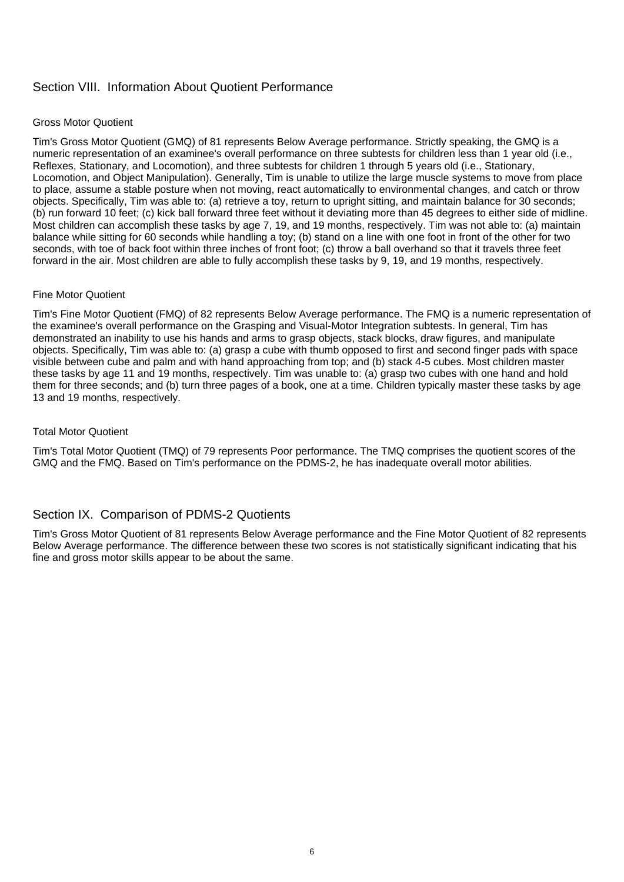## Section VIII. Information About Quotient Performance

### Gross Motor Quotient

Tim's Gross Motor Quotient (GMQ) of 81 represents Below Average performance. Strictly speaking, the GMQ is a numeric representation of an examinee's overall performance on three subtests for children less than 1 year old (i.e., Reflexes, Stationary, and Locomotion), and three subtests for children 1 through 5 years old (i.e., Stationary, Locomotion, and Object Manipulation). Generally, Tim is unable to utilize the large muscle systems to move from place to place, assume a stable posture when not moving, react automatically to environmental changes, and catch or throw objects. Specifically, Tim was able to: (a) retrieve a toy, return to upright sitting, and maintain balance for 30 seconds; (b) run forward 10 feet; (c) kick ball forward three feet without it deviating more than 45 degrees to either side of midline. Most children can accomplish these tasks by age 7, 19, and 19 months, respectively. Tim was not able to: (a) maintain balance while sitting for 60 seconds while handling a toy; (b) stand on a line with one foot in front of the other for two seconds, with toe of back foot within three inches of front foot; (c) throw a ball overhand so that it travels three feet forward in the air. Most children are able to fully accomplish these tasks by 9, 19, and 19 months, respectively.

### Fine Motor Quotient

Tim's Fine Motor Quotient (FMQ) of 82 represents Below Average performance. The FMQ is a numeric representation of the examinee's overall performance on the Grasping and Visual-Motor Integration subtests. In general, Tim has demonstrated an inability to use his hands and arms to grasp objects, stack blocks, draw figures, and manipulate objects. Specifically, Tim was able to: (a) grasp a cube with thumb opposed to first and second finger pads with space visible between cube and palm and with hand approaching from top; and (b) stack 4-5 cubes. Most children master these tasks by age 11 and 19 months, respectively. Tim was unable to: (a) grasp two cubes with one hand and hold them for three seconds; and (b) turn three pages of a book, one at a time. Children typically master these tasks by age 13 and 19 months, respectively.

### Total Motor Quotient

Tim's Total Motor Quotient (TMQ) of 79 represents Poor performance. The TMQ comprises the quotient scores of the GMQ and the FMQ. Based on Tim's performance on the PDMS-2, he has inadequate overall motor abilities.

### Section IX. Comparison of PDMS-2 Quotients

Tim's Gross Motor Quotient of 81 represents Below Average performance and the Fine Motor Quotient of 82 represents Below Average performance. The difference between these two scores is not statistically significant indicating that his fine and gross motor skills appear to be about the same.